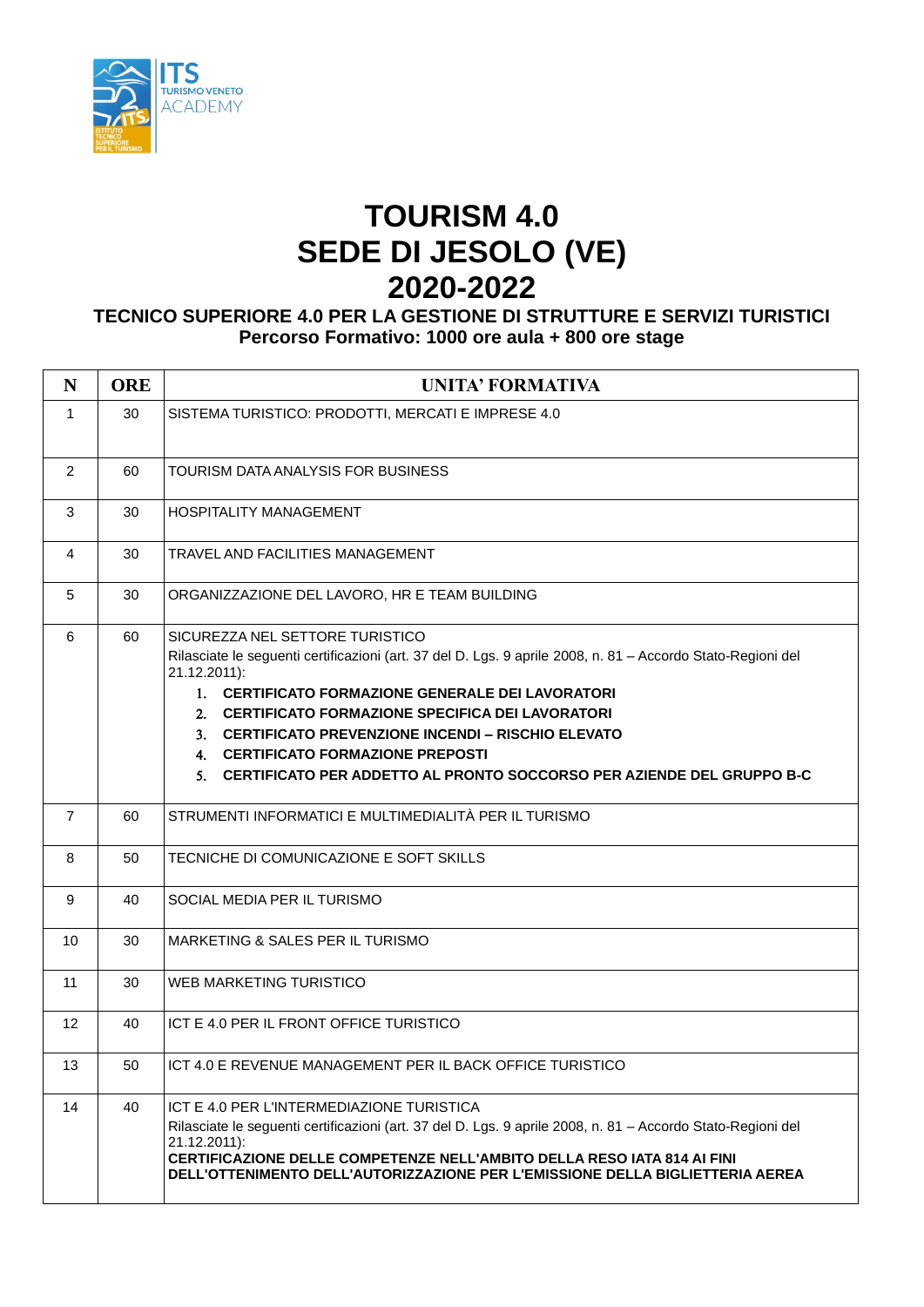

## **TOURISM 4.0 SEDE DI JESOLO (VE) 2020-2022**

## **TECNICO SUPERIORE 4.0 PER LA GESTIONE DI STRUTTURE E SERVIZI TURISTICI Percorso Formativo: 1000 ore aula + 800 ore stage**

| N              | <b>ORE</b> | UNITA' FORMATIVA                                                                                                                                                                                                                                                                                                                                                                                                                                    |
|----------------|------------|-----------------------------------------------------------------------------------------------------------------------------------------------------------------------------------------------------------------------------------------------------------------------------------------------------------------------------------------------------------------------------------------------------------------------------------------------------|
| $\mathbf{1}$   | 30         | SISTEMA TURISTICO: PRODOTTI, MERCATI E IMPRESE 4.0                                                                                                                                                                                                                                                                                                                                                                                                  |
| $\overline{2}$ | 60         | TOURISM DATA ANALYSIS FOR BUSINESS                                                                                                                                                                                                                                                                                                                                                                                                                  |
| 3              | 30         | <b>HOSPITALITY MANAGEMENT</b>                                                                                                                                                                                                                                                                                                                                                                                                                       |
| 4              | 30         | TRAVEL AND FACILITIES MANAGEMENT                                                                                                                                                                                                                                                                                                                                                                                                                    |
| 5              | 30         | ORGANIZZAZIONE DEL LAVORO, HR E TEAM BUILDING                                                                                                                                                                                                                                                                                                                                                                                                       |
| 6              | 60         | SICUREZZA NEL SETTORE TURISTICO<br>Rilasciate le seguenti certificazioni (art. 37 del D. Lgs. 9 aprile 2008, n. 81 - Accordo Stato-Regioni del<br>21.12.2011):<br>1. CERTIFICATO FORMAZIONE GENERALE DEI LAVORATORI<br>2. CERTIFICATO FORMAZIONE SPECIFICA DEI LAVORATORI<br>3. CERTIFICATO PREVENZIONE INCENDI – RISCHIO ELEVATO<br>4. CERTIFICATO FORMAZIONE PREPOSTI<br>5. CERTIFICATO PER ADDETTO AL PRONTO SOCCORSO PER AZIENDE DEL GRUPPO B-C |
| $\overline{7}$ | 60         | STRUMENTI INFORMATICI E MULTIMEDIALITÀ PER IL TURISMO                                                                                                                                                                                                                                                                                                                                                                                               |
| 8              | 50         | TECNICHE DI COMUNICAZIONE E SOFT SKILLS                                                                                                                                                                                                                                                                                                                                                                                                             |
| 9              | 40         | SOCIAL MEDIA PER IL TURISMO                                                                                                                                                                                                                                                                                                                                                                                                                         |
| 10             | 30         | MARKETING & SALES PER IL TURISMO                                                                                                                                                                                                                                                                                                                                                                                                                    |
| 11             | 30         | WEB MARKETING TURISTICO                                                                                                                                                                                                                                                                                                                                                                                                                             |
| 12             | 40         | ICT E 4.0 PER IL FRONT OFFICE TURISTICO                                                                                                                                                                                                                                                                                                                                                                                                             |
| 13             | 50         | ICT 4.0 E REVENUE MANAGEMENT PER IL BACK OFFICE TURISTICO                                                                                                                                                                                                                                                                                                                                                                                           |
| 14             | 40         | ICT E 4.0 PER L'INTERMEDIAZIONE TURISTICA<br>Rilasciate le seguenti certificazioni (art. 37 del D. Lgs. 9 aprile 2008, n. 81 - Accordo Stato-Regioni del<br>21.12.2011):<br>CERTIFICAZIONE DELLE COMPETENZE NELL'AMBITO DELLA RESO IATA 814 AI FINI<br>DELL'OTTENIMENTO DELL'AUTORIZZAZIONE PER L'EMISSIONE DELLA BIGLIETTERIA AEREA                                                                                                                |